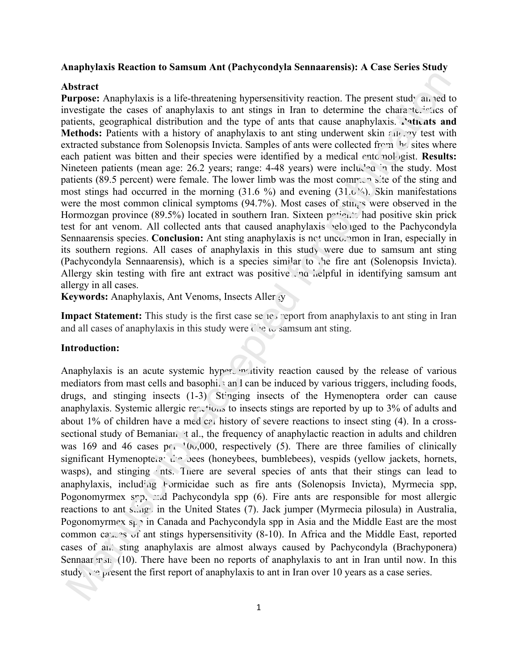## **Anaphylaxis Reaction to Samsum Ant (Pachycondyla Sennaarensis): A Case Series Study**

### **Abstract**

Purpose: Anaphylaxis is a life-threatening hypersensitivity reaction. The present study an red to investigate the cases of anaphylaxis to ant stings in Iran to determine the characteristics of patients, geographical distribution and the type of ants that cause anaphylaxis. **Patients and Methods:** Patients with a history of anaphylaxis to ant sting underwent skin  $\epsilon_{AB}$ , by test with extracted substance from Solenopsis Invicta. Samples of ants were collected from the sites where each patient was bitten and their species were identified by a medical entomologist. **Results:** Nineteen patients (mean age: 26.2 years; range: 4-48 years) were included in the study. Most patients (89.5 percent) were female. The lower limb was the most common site of the sting and most stings had occurred in the morning  $(31.6\%)$  and evening  $(31.6\%)$ . Skin manifestations were the most common clinical symptoms  $(94.7%)$ . Most cases of stings were observed in the Hormozgan province (89.5%) located in southern Iran. Sixteen  $p^{\text{st}}e$  had positive skin prick test for ant venom. All collected ants that caused anaphylaxis belonged to the Pachycondyla Sennaarensis species. **Conclusion:** Ant sting anaphylaxis is not uncommon in Iran, especially in its southern regions. All cases of anaphylaxis in this study were due to samsum ant sting (Pachycondyla Sennaarensis), which is a species similar to the fire ant (Solenopsis Invicta). Allergy skin testing with fire ant extract was positive . no helpful in identifying samsum ant allergy in all cases.

**Keywords:** Anaphylaxis, Ant Venoms, Insects Allergy

**Impact Statement:** This study is the first case series report from anaphylaxis to ant sting in Iran and all cases of anaphylaxis in this study were due to samsum ant sting.

## **Introduction:**

Anaphylaxis is an acute systemic hypersensitivity reaction caused by the release of various mediators from mast cells and basophils and can be induced by various triggers, including foods, drugs, and stinging insects (1-3). Stinging insects of the Hymenoptera order can cause anaphylaxis. Systemic allergic re $\sim$ tions to insects stings are reported by up to 3% of adults and about 1% of children have a med  $c\overline{e}$  history of severe reactions to insect sting (4). In a crosssectional study of Bemanian t al., the frequency of anaphylactic reaction in adults and children was 169 and 46 cases  $p \in \{0, 000\}$ , respectively (5). There are three families of clinically significant Hymenoptera: the bees (honeybees, bumblebees), vespids (yellow jackets, hornets, wasps), and stinging ints. There are several species of ants that their stings can lead to anaphylaxis, including Formicidae such as fire ants (Solenopsis Invicta), Myrmecia spp, Pogonomyrmex  $srp$ , and Pachycondyla spp (6). Fire ants are responsible for most allergic reactions to ant  $s_{\text{avg}}$  in the United States (7). Jack jumper (Myrmecia pilosula) in Australia, Pogonomyrmex  $s_{\nu}$  in Canada and Pachycondyla spp in Asia and the Middle East are the most common ca<sub>n</sub> as of ant stings hypersensitivity (8-10). In Africa and the Middle East, reported cases of ant sting anaphylaxis are almost always caused by Pachycondyla (Brachyponera) Sennaar  $P(A)$ . There have been no reports of anaphylaxis to ant in Iran until now. In this study, we present the first report of anaphylaxis to ant in Iran over 10 years as a case series.<br> $\frac{10}{3}$ **IDENTIFY (Alternation is a life-liferatoring hypersemisitivity reaction. The present study an-edl<br>ureprice: Amphylaxis is an life-liferatoring hypersemisitivity reaction. The present study an-edl<br>uresistance for consiste**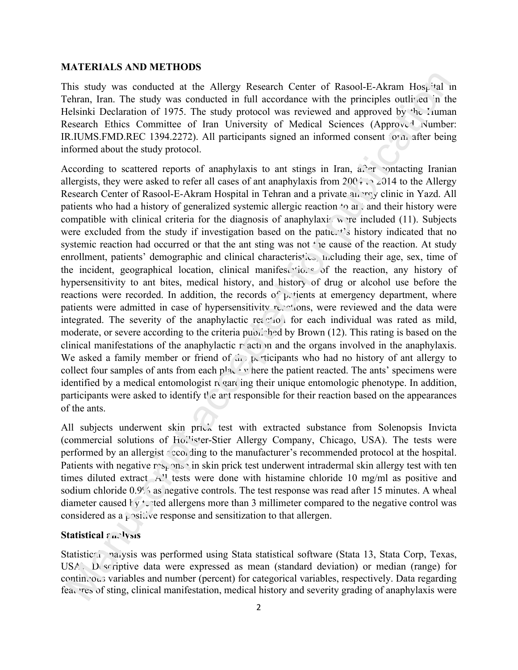#### **MATERIALS AND METHODS**

This study was conducted at the Allergy Research Center of Rasool-E-Akram Hospital in Tehran, Iran. The study was conducted in full accordance with the principles outlined in the Helsinki Declaration of 1975. The study protocol was reviewed and approved by the Human Research Ethics Committee of Iran University of Medical Sciences (Approved Number: IR.IUMS.FMD.REC 1394.2272). All participants signed an informed consent  $\sigma$  m after being informed about the study protocol.

According to scattered reports of anaphylaxis to ant stings in Iran,  $a^2$  er contacting Iranian allergists, they were asked to refer all cases of ant anaphylaxis from  $200 + 2014$  to the Allergy Research Center of Rasool-E-Akram Hospital in Tehran and a private  $a_{11}$ ,  $r \circ g$  clinic in Yazd. All patients who had a history of generalized systemic allergic reaction  $\sim$  and their history were compatible with clinical criteria for the diagnosis of anaphylaxis were included (11). Subjects were excluded from the study if investigation based on the patient's history indicated that no systemic reaction had occurred or that the ant sting was not  $\pm$  ie cause of the reaction. At study enrollment, patients' demographic and clinical characteristics, including their age, sex, time of the incident, geographical location, clinical manifest tions of the reaction, any history of hypersensitivity to ant bites, medical history, and history of drug or alcohol use before the reactions were recorded. In addition, the records of  $p$  tients at emergency department, where patients were admitted in case of hypersensitivity  $r_{\text{c}}$  and the data were reviewed and the data were integrated. The severity of the anaphylactic reaction for each individual was rated as mild, moderate, or severe according to the criteria published by Brown  $(12)$ . This rating is based on the clinical manifestations of the anaphylactic  $r<sub>i</sub>$  action and the organs involved in the anaphylaxis. We asked a family member or friend of  $\hat{\mu}$  p. ticipants who had no history of ant allergy to collect four samples of ants from each  $p!a$ .  $\cdot$  where the patient reacted. The ants' specimens were identified by a medical entomologist  $\mathbf{r}_k$  and  $\mathbf{r}_l$  in a proportion in a medicing in addition, participants were asked to identify  $t$  e art responsible for their reaction based on the appearances of the ants. the Allergy Research Center of Rasool-E-Akram Hos<sub>i</sub> 'tal inducted in full accordance with the principles outlined in the study protocol was reviewed and approved by 'he *L*uma of Iran University of Medical Sciences (Appr

All subjects underwent skin prick test with extracted substance from Solenopsis Invicta (commercial solutions of Hollister-Stier Allergy Company, Chicago, USA). The tests were performed by an allergist  $\gamma$  conding to the manufacturer's recommended protocol at the hospital. Patients with negative  $rs_k$  on  $\sin$  in skin prick test underwent intradermal skin allergy test with ten times diluted extract. A<sup>t</sup> tests were done with histamine chloride 10 mg/ml as positive and sodium chloride 0.9% as negative controls. The test response was read after 15 minutes. A wheal diameter caused  $\frac{1}{y}$  ted allergens more than 3 millimeter compared to the negative control was considered as a positive response and sensitization to that allergen. XII subjects underwent skin prick<br>commercial solutions of Ho.<sup>1</sup> ster-<br>erformed by an allergist  $\gamma$  coo ding t<br>atients with negative  $r s_F$  ms  $\gamma$  in skings diluted extract A<sup>1</sup> tests were<br>odium chloride 0.9% as negative

## **Statistical**  $\overline{a}$  *s* **lysis**

Statistical nalysis was performed using Stata statistical software (Stata 13, Stata Corp, Texas, USA). Descriptive data were expressed as mean (standard deviation) or median (range) for continuous variables and number (percent) for categorical variables, respectively. Data regarding features of sting, clinical manifestation, medical history and severity grading of anaphylaxis were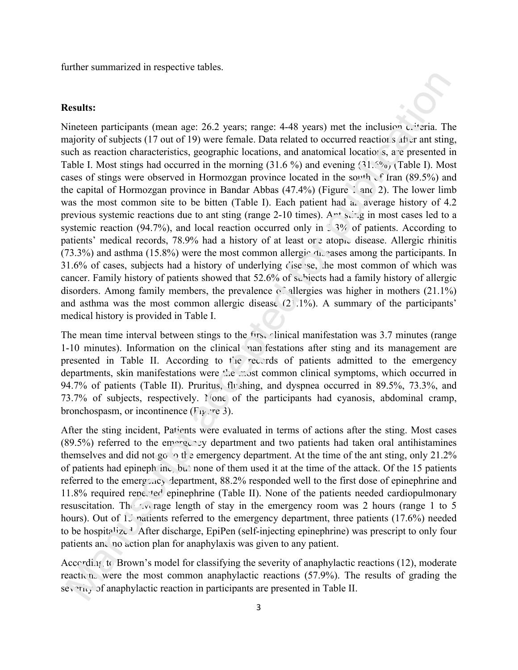further summarized in respective tables.

## **Results:**

Nineteen participants (mean age: 26.2 years; range: 4-48 years) met the inclusion  $c$  *t*-tria. The majority of subjects (17 out of 19) were female. Data related to occurred reactions after ant sting, such as reaction characteristics, geographic locations, and anatomical locations, are presented in Table I. Most stings had occurred in the morning  $(31.6\%)$  and evening  $(31.6\%)$  (Table I). Most cases of stings were observed in Hormozgan province located in the south of Iran (89.5%) and the capital of Hormozgan province in Bandar Abbas  $(47.4\%)$  (Figure 1 and 2). The lower limb was the most common site to be bitten (Table I). Each patient had  $a_n$  average history of 4.2 previous systemic reactions due to ant sting (range 2-10 times).  $A<sup>nt</sup> s_{n+1}$  in most cases led to a systemic reaction (94.7%), and local reaction occurred only in  $\frac{1}{2}$ . 3% of patients. According to patients' medical records, 78.9% had a history of at least one atopic disease. Allergic rhinitis  $(73.3\%)$  and asthma  $(15.8\%)$  were the most common allergic during the participants. In 31.6% of cases, subjects had a history of underlying disease, the most common of which was cancer. Family history of patients showed that 52.6% of subjects had a family history of allergic disorders. Among family members, the prevalence  $\circ$  allergies was higher in mothers (21.1%) and asthma was the most common allergic disease (21.1%). A summary of the participants' medical history is provided in Table I. c: 26.2 years; range: 4-48 years) met the inclusion Civria. Th<br>9) were female. Data related to occurred reactions after ant sting<br>geographic locations, and anatomial location s, are presented in the morning (31.6%) and ev

The mean time interval between stings to the first clinical manifestation was 3.7 minutes (range 1-10 minutes). Information on the clinical manifestations after sting and its management are presented in Table II. According to the records of patients admitted to the emergency departments, skin manifestations were the most common clinical symptoms, which occurred in 94.7% of patients (Table II). Pruritus, flushing, and dyspnea occurred in 89.5%, 73.3%, and 73.7% of subjects, respectively.  $\Gamma$  one of the participants had cyanosis, abdominal cramp, bronchospasm, or incontinence  $(F_{1}$ <sup>re</sup> 3).

After the sting incident, Patients were evaluated in terms of actions after the sting. Most cases  $(89.5%)$  referred to the emergency department and two patients had taken oral antihistamines themselves and did not go  $\gamma$  the emergency department. At the time of the ant sting, only 21.2% of patients had epinephrine, but none of them used it at the time of the attack. Of the 15 patients referred to the emergency department,  $88.2\%$  responded well to the first dose of epinephrine and  $11.8\%$  required repected epinephrine (Table II). None of the patients needed cardiopulmonary resuscitation. The  $\sim$  rage length of stay in the emergency room was 2 hours (range 1 to 5 hours). Out of 15 patients referred to the emergency department, three patients (17.6%) needed to be hospitalize<sup>1</sup> After discharge, EpiPen (self-injecting epinephrine) was prescript to only four patients and no action plan for anaphylaxis was given to any patient. After the sting incident, Patients we<br>
89.5%) referred to the emergency of<br>
hemselves and did not go  $\sim$  the emergency departmen<br>
f patients had epineph: inc., but none<br>
eferred to the emergency departmen<br>
1.8% required

According to Brown's model for classifying the severity of anaphylactic reactions (12), moderate reactions were the most common anaphylactic reactions  $(57.9\%)$ . The results of grading the severity of anaphylactic reaction in participants are presented in Table II.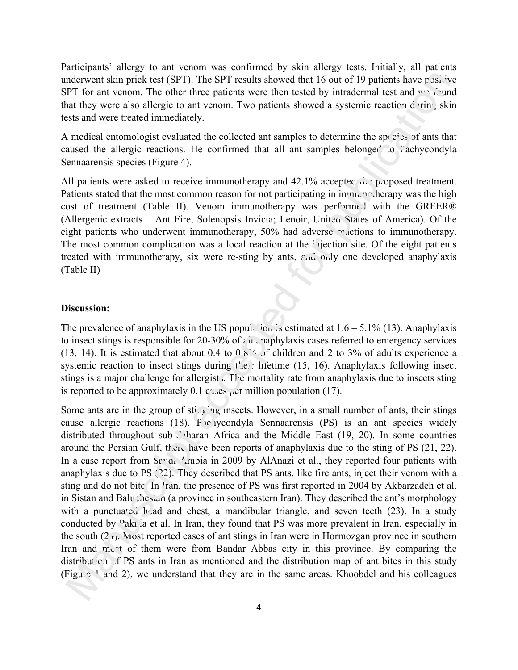Participants' allergy to ant venom was confirmed by skin allergy tests. Initially, all patients underwent skin prick test (SPT). The SPT results showed that 16 out of 19 patients have positive SPT for ant venom. The other three patients were then tested by intradermal test and we found that they were also allergic to ant venom. Two patients showed a systemic reaction during skin tests and were treated immediately.

A medical entomologist evaluated the collected ant samples to determine the species of ants that caused the allergic reactions. He confirmed that all ant samples belonged to  $\tilde{\Omega}$  achycondyla Sennaarensis species (Figure 4).

All patients were asked to receive immunotherapy and  $42.1\%$  accepted  $\mu$ , proposed treatment. Patients stated that the most common reason for not participating in immunous herapy was the high cost of treatment (Table II). Venom immunotherapy was performed with the GREER® (Allergenic extracts – Ant Fire, Solenopsis Invicta; Lenoir, Unit  $\alpha$  States of America). Of the eight patients who underwent immunotherapy, 50% had adverse reactions to immunotherapy. The most common complication was a local reaction at the injection site. Of the eight patients treated with immunotherapy, six were re-sting by ants, and only one developed anaphylaxis (Table II)

## **Discussion:**

The prevalence of anaphylaxis in the US population is estimated at  $1.6 - 5.1\%$  (13). Anaphylaxis to insect stings is responsible for 20-30% of  $\epsilon \mu$  anaphylaxis cases referred to emergency services (13, 14). It is estimated that about 0.4 to  $0.8$ <sup>%</sup> of children and 2 to 3% of adults experience a systemic reaction to insect stings during  $t'$  ei: lifetime (15, 16). Anaphylaxis following insect stings is a major challenge for allergist. The mortality rate from anaphylaxis due to insects sting is reported to be approximately 0.1 c $\sim$ es <sub>p</sub>er million population (17).

Some ants are in the group of  $\text{sti}_{\text{AB}}$  ing insects. However, in a small number of ants, their stings cause allergic reactions (18). Pachycondyla Sennaarensis (PS) is an ant species widely distributed throughout sub- $\sqrt{ }$  haran Africa and the Middle East (19, 20). In some countries around the Persian Gulf, then have been reports of anaphylaxis due to the sting of PS  $(21, 22)$ . In a case report from Savai Arabia in 2009 by AlAnazi et al., they reported four patients with anaphylaxis due to PS (22). They described that PS ants, like fire ants, inject their venom with a sting and do not bite. In <sup>T</sup>ran, the presence of PS was first reported in 2004 by Akbarzadeh et al. in Sistan and Baluchestan (a province in southeastern Iran). They described the ant's morphology with a punctuated head and chest, a mandibular triangle, and seven teeth  $(23)$ . In a study conducted by Paki ia et al. In Iran, they found that PS was more prevalent in Iran, especially in the south  $(2<sub>1</sub>)$ . Most reported cases of ant stings in Iran were in Hormozgan province in southern Iran and met of them were from Bandar Abbas city in this province. By comparing the distribution of PS ants in Iran as mentioned and the distribution map of ant bites in this study (Figure 1 and 2), we understand that they are in the same areas. Khoobdel and his colleagues mderwoon simplicite use (SPP). The SPF results showed int 1 fo out 5 0 publishs have been present to the publication of the simulation of the simulation of the simulation of the simulation of the simulation of the simulat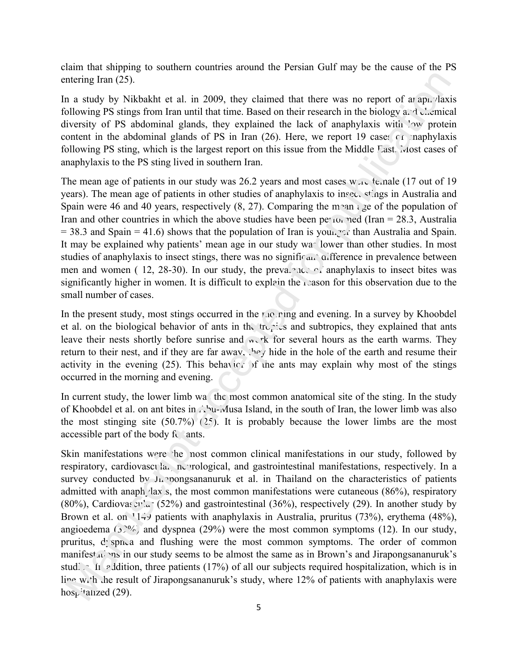claim that shipping to southern countries around the Persian Gulf may be the cause of the PS entering Iran (25).

In a study by Nikbakht et al. in 2009, they claimed that there was no report of araphylaxis following PS stings from Iran until that time. Based on their research in the biology and chemical diversity of PS abdominal glands, they explained the lack of anaphylaxis with  $\frac{1}{2}$  protein content in the abdominal glands of PS in Iran  $(26)$ . Here, we report 19 cases of anaphylaxis following PS sting, which is the largest report on this issue from the Middle East. Most cases of anaphylaxis to the PS sting lived in southern Iran.

The mean age of patients in our study was 26.2 years and most cases  $w_{\text{av}}$  te nale (17 out of 19 years). The mean age of patients in other studies of anaphylaxis to insect stings in Australia and Spain were 46 and 40 years, respectively  $(8, 27)$ . Comparing the mean and  $\epsilon$  and the population of Iran and other countries in which the above studies have been performed (Iran = 28.3, Australia  $= 38.3$  and Spain  $= 41.6$ ) shows that the population of Iran is younger than Australia and Spain. It may be explained why patients' mean age in our study was lower than other studies. In most studies of anaphylaxis to insect stings, there was no significant difference in prevalence between men and women ( 12, 28-30). In our study, the prevalence of anaphylaxis to insect bites was significantly higher in women. It is difficult to explain the reason for this observation due to the small number of cases.

In the present study, most stings occurred in the morning and evening. In a survey by Khoobdel et al. on the biological behavior of ants in the tropics and subtropics, they explained that ants leave their nests shortly before sunrise and  $w$ ,  $rk$  for several hours as the earth warms. They return to their nest, and if they are far away, they hide in the hole of the earth and resume their activity in the evening (25). This behavior of the ants may explain why most of the stings occurred in the morning and evening.

In current study, the lower limb was the most common anatomical site of the sting. In the study of Khoobdel et al. on ant bites in Abu-Musa Island, in the south of Iran, the lower limb was also the most stinging site  $(50.7\%)$   $(2.5)$ . It is probably because the lower limbs are the most accessible part of the body for ants.

Skin manifestations were the nost common clinical manifestations in our study, followed by respiratory, cardiovascula, neurological, and gastrointestinal manifestations, respectively. In a survey conducted by  $J<sub>h</sub>$  pongsananuruk et al. in Thailand on the characteristics of patients admitted with anaph  $\langle$ lax s, the most common manifestations were cutaneous (86%), respiratory (80%), Cardiovas  $x^2$  (52%) and gastrointestinal (36%), respectively (29). In another study by Brown et al. on  $11\div 7$  patients with anaphylaxis in Australia, pruritus (73%), erythema (48%), angioedema  $(3)^{0}/_{\odot}$  and dyspnea (29%) were the most common symptoms (12). In our study, pruritus, despnea and flushing were the most common symptoms. The order of common manifest<sub>ation</sub>s in our study seems to be almost the same as in Brown's and Jirapongsananuruk's studies. In addition, three patients (17%) of all our subjects required hospitalization, which is in line with the result of Jirapongsananuruk's study, where 12% of patients with anaphylaxis were  $h$ os<sub>t</sub> $\cdot$ tanzed (29). ntering Iran (25).<br>
In a study by Nikhahkh et al. in 2009, they claimed that there was no report of attapic/axis<br>
a attachy by Nikhahkh et al. in 2009, they claimed that there was no report of attapic/axis<br>
inversion of P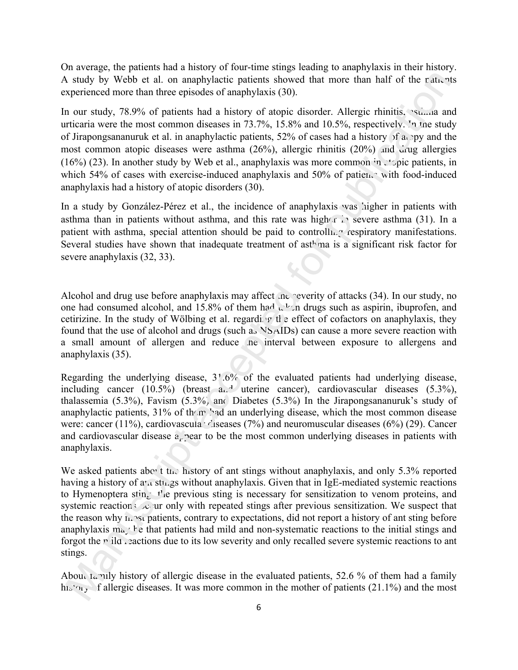On average, the patients had a history of four-time stings leading to anaphylaxis in their history. A study by Webb et al. on anaphylactic patients showed that more than half of the patients experienced more than three episodes of anaphylaxis (30).

In our study, 78.9% of patients had a history of atopic disorder. Allergic rhinitis, stillar and urticaria were the most common diseases in 73.7%, 15.8% and 10.5%, respectively. In the study of Jirapongsananuruk et al. in anaphylactic patients, 52% of cases had a history of a py and the most common atopic diseases were asthma  $(26\%)$ , allergic rhinitis  $(20\%)$  and drug allergies (16%) (23). In another study by Web et al., anaphylaxis was more common in  $\therefore$  pic patients, in which 54% of cases with exercise-induced anaphylaxis and 50% of patients with food-induced anaphylaxis had a history of atopic disorders (30). aphylactic patients showed that more than half of the patients<br>sodes of anaphylaxis (30).<br>
Is had a history of atopic disorder. Allergic rhinitis, samma an<br>
an diseases in 73.7%, 15.8% and 10.5%, respectively. In the stud

In a study by González-Pérez et al., the incidence of anaphylaxis was higher in patients with asthma than in patients without asthma, and this rate was higher in severe asthma (31). In a patient with asthma, special attention should be paid to controlly respiratory manifestations. Several studies have shown that inadequate treatment of ast<sup> $h$ </sup> ma is a significant risk factor for severe anaphylaxis (32, 33).

Alcohol and drug use before anaphylaxis may affect the reverity of attacks (34). In our study, no one had consumed alcohol, and 15.8% of them had  $\mathfrak{t}^{1}_{\mathfrak{t}}$  drugs such as aspirin, ibuprofen, and cetirizine. In the study of Wölbing et al. regarding the effect of cofactors on anaphylaxis, they found that the use of alcohol and drugs (such as NSAIDs) can cause a more severe reaction with a small amount of allergen and reduce the interval between exposure to allergens and anaphylaxis (35).

Regarding the underlying disease, 31.6% of the evaluated patients had underlying disease, including cancer  $(10.5\%)$  (breast and uterine cancer), cardiovascular diseases  $(5.3\%)$ , thalassemia  $(5.3\%)$ , Favism  $(5.3\%)$  and Diabetes  $(5.3\%)$  In the Jirapongsananuruk's study of anaphylactic patients,  $31\%$  of them had an underlying disease, which the most common disease were: cancer (11%), cardiovascula  $\cdot$  diseases (7%) and neuromuscular diseases (6%) (29). Cancer and cardiovascular disease a pear to be the most common underlying diseases in patients with anaphylaxis.

We asked patients about the history of ant stings without anaphylaxis, and only 5.3% reported having a history of  $a<sub>1</sub>$  stings without anaphylaxis. Given that in IgE-mediated systemic reactions to Hymenoptera stin,  $t'$  e previous sting is necessary for sensitization to venom proteins, and systemic reactions  $\infty$  ur only with repeated stings after previous sensitization. We suspect that the reason why most patients, contrary to expectations, did not report a history of ant sting before anaphylaxis may be that patients had mild and non-systematic reactions to the initial stings and forgot the  $\vec{r}$  ild reactions due to its low severity and only recalled severe systemic reactions to ant stings. Manuscript<br>
Independent disease a pear to<br>
maphylaxis.<br>
We asked patients above the history<br>
aving a history of  $a^r a$  strings without<br>
Dependent of  $a^r a$  strings without<br>
Systemic reaction  $a^r a^r a$  or only with r<br>
he r

About the mily history of allergic disease in the evaluated patients, 52.6 % of them had a family his to  $\mathbf{v}_1$  f allergic diseases. It was more common in the mother of patients (21.1%) and the most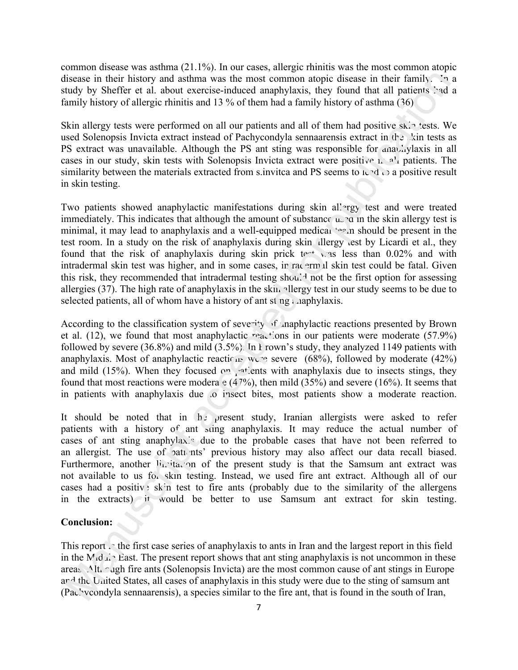common disease was asthma (21.1%). In our cases, allergic rhinitis was the most common atopic disease in their history and asthma was the most common atopic disease in their family. In a study by Sheffer et al. about exercise-induced anaphylaxis, they found that all patients had a family history of allergic rhinitis and 13 % of them had a family history of asthma (36).

Skin allergy tests were performed on all our patients and all of them had positive skin tests. We used Solenopsis Invicta extract instead of Pachycondyla sennaarensis extract in the kin tests as PS extract was unavailable. Although the PS ant sting was responsible for anaphylaxis in all cases in our study, skin tests with Solenopsis Invicta extract were positive in  $a^1$  patients. The similarity between the materials extracted from s.invitca and PS seems to  $L \cdot d \cdot d$  a positive result in skin testing.

Two patients showed anaphylactic manifestations during skin allergy test and were treated immediately. This indicates that although the amount of substance  $u \rightarrow a$  in the skin allergy test is minimal, it may lead to anaphylaxis and a well-equipped medical  $\sim$  n should be present in the test room. In a study on the risk of anaphylaxis during skin dlergy test by Licardi et al., they found that the risk of anaphylaxis during skin prick test was less than  $0.02\%$  and with intradermal skin test was higher, and in some cases, in racermal skin test could be fatal. Given this risk, they recommended that intradermal testing should not be the first option for assessing allergies (37). The high rate of anaphylaxis in the skin allergy test in our study seems to be due to selected patients, all of whom have a history of ant st  $ng : \n *apply*laxis.$ hma was the most common atopic disease in their family. The<br>xercise-induced anaphylaxis, they found that all patients 2nd<br>s and 13 % of them had a family history of asthma (36)<br>ed on all our patients and all of them had p

According to the classification system of severity of anaphylactic reactions presented by Brown et al.  $(12)$ , we found that most anaphylactic reactions in our patients were moderate  $(57.9\%)$ followed by severe (36.8%) and mild (3.5%). In Frown's study, they analyzed 1149 patients with anaphylaxis. Most of anaphylactic reactions were (68%), followed by moderate (42%) and mild (15%). When they focused on patients with anaphylaxis due to insects stings, they found that most reactions were modera  $e(47%)$ , then mild (35%) and severe (16%). It seems that in patients with anaphylaxis due to insect bites, most patients show a moderate reaction.

It should be noted that in  $h<sub>z</sub>$  present study, Iranian allergists were asked to refer patients with a history of ant sting anaphylaxis. It may reduce the actual number of cases of ant sting anaphylaxis due to the probable cases that have not been referred to an allergist. The use of patients' previous history may also affect our data recall biased. Furthermore, another  $J_{11}$  itation of the present study is that the Samsum ant extract was not available to us for skin testing. Instead, we used fire ant extract. Although all of our cases had a positive skin test to fire ants (probably due to the similarity of the allergens in the extracts) it would be better to use Samsum ant extract for skin testing. atients with a history of ant states of ant sting anaphylax. due in allergist. The use of patients' intribution of intertwine and a positiv skin test to f the extracts) it would be 1<br>Conclusion:<br>This report of the first c

#### **Conclusion:**

This report in the first case series of anaphylaxis to ants in Iran and the largest report in this field in the M<sub>id<sup>'</sup> $\Lambda$ </sub> East. The present report shows that ant sting anaphylaxis is not uncommon in these areas. Although fire ants (Solenopsis Invicta) are the most common cause of ant stings in Europe and the United States, all cases of anaphylaxis in this study were due to the sting of samsum ant (Pac' veondyla sennaarensis), a species similar to the fire ant, that is found in the south of Iran,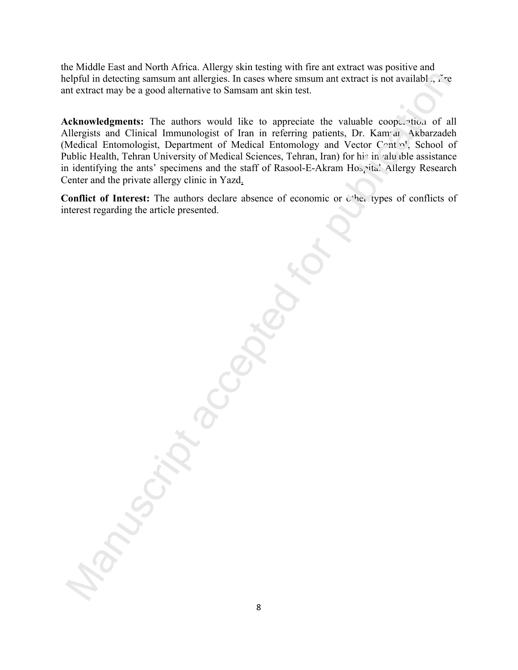the Middle East and North Africa. Allergy skin testing with fire ant extract was positive and helpful in detecting samsum ant allergies. In cases where smsum ant extract is not available,  $\tilde{f}$  re ant extract may be a good alternative to Samsam ant skin test.

Acknowledgments: The authors would like to appreciate the valuable cooperation of all Allergists and Clinical Immunologist of Iran in referring patients, Dr. Kamran Akbarzadeh (Medical Entomologist, Department of Medical Entomology and Vector Control, School of Public Health, Tehran University of Medical Sciences, Tehran, Iran) for his in valuable assistance in identifying the ants' specimens and the staff of Rasool-E-Akram Hospital Allergy Research Center and the private allergy clinic in Yazd.

Conflict of Interest: The authors declare absence of economic or  $C<sup>4</sup>$  types of conflicts of interest regarding the article presented.

Manuscript accepted for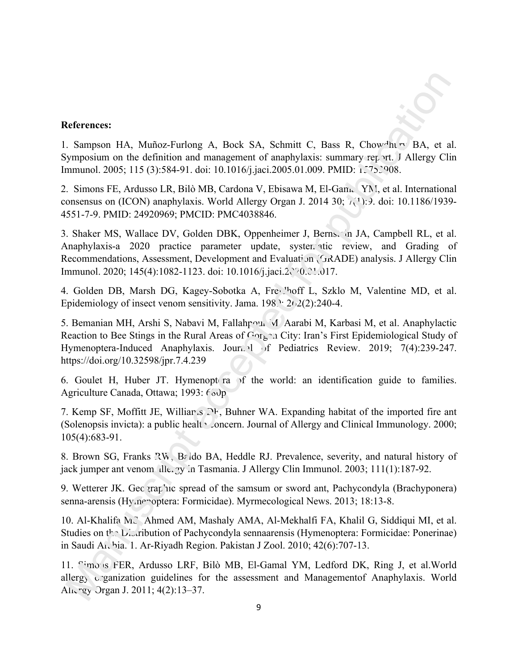# **References:**

1. Sampson HA, Muñoz-Furlong A, Bock SA, Schmitt C, Bass R, Chowdhury BA, et al. Symposium on the definition and management of anaphylaxis: summary report. J Allergy Clin Immunol. 2005; 115 (3):584-91. doi: 10.1016/j.jaci.2005.01.009. PMID: 1.752908.

2. Simons FE, Ardusso LR, Bilò MB, Cardona V, Ebisawa M, El-Gam. YN, et al. International consensus on (ICON) anaphylaxis. World Allergy Organ J. 2014 30;  $\gamma(1)$ : 9. doi: 10.1186/1939-4551-7-9. PMID: 24920969; PMCID: PMC4038846.

3. Shaker MS, Wallace DV, Golden DBK, Oppenheimer J, Bernstein JA, Campbell RL, et al. Anaphylaxis-a 2020 practice parameter update, systematic review, and Grading of Recommendations, Assessment, Development and Evaluation (GRADE) analysis. J Allergy Clin Immunol. 2020; 145(4):1082-1123. doi: 10.1016/j.jaci.2. 0.21.017.

4. Golden DB, Marsh DG, Kagey-Sobotka A, Freighoff L, Szklo M, Valentine MD, et al. Epidemiology of insect venom sensitivity. Jama.  $198$   $\cdot$  2(2):240-4.

5. Bemanian MH, Arshi S, Nabavi M, Fallahpour M, Aarabi M, Karbasi M, et al. Anaphylactic Reaction to Bee Stings in the Rural Areas of  $G_0$  and  $C_1$  and  $C_2$  is First Epidemiological Study of Hymenoptera-Induced Anaphylaxis. Journal of Pediatrics Review. 2019; 7(4):239-247. https://doi.org/10.32598/jpr.7.4.239 **Efferences:**<br>
S. sampson HA, Muñoz-Furlong A, Bock SA, Schmitt C, Bass R, Chow<sup>si</sup>nco BA, et symposium on the definition and management of anaphyloxis: summary zec. of, Murgy Cit<br>
Simuss FE, Aridisso LR, Bilò MB, Carduna

6. Goulet H, Huber JT. Hymenopt ra  $\nu$  f the world: an identification guide to families. Agriculture Canada, Ottawa; 1993:  $f \circ y$ 

7. Kemp SF, Moffitt JE, Williams DF, Buhner WA. Expanding habitat of the imported fire ant (Solenopsis invicta): a public health concern. Journal of Allergy and Clinical Immunology. 2000; 105(4):683-91.

8. Brown SG, Franks RW, Baldo BA, Heddle RJ. Prevalence, severity, and natural history of jack jumper ant venom allergy in Tasmania. J Allergy Clin Immunol. 2003; 111(1):187-92.

9. Wetterer JK. Geo graphic spread of the samsum or sword ant, Pachycondyla (Brachyponera) senna-arensis (Hy.nenoptera: Formicidae). Myrmecological News. 2013; 18:13-8.

10. Al-Khalifa MS, Ahmed AM, Mashaly AMA, Al-Mekhalfi FA, Khalil G, Siddiqui MI, et al. Studies on the Distribution of Pachycondyla sennaarensis (Hymenoptera: Formicidae: Ponerinae) in Saudi Ar, hia. 1. Ar-Riyadh Region. Pakistan J Zool. 2010; 42(6):707-13.

11. Simons FER, Ardusso LRF, Bilò MB, El-Gamal YM, Ledford DK, Ring J, et al.World allergy organization guidelines for the assessment and Managementof Anaphylaxis. World Allergy Organ J. 2011; 4(2):13–37.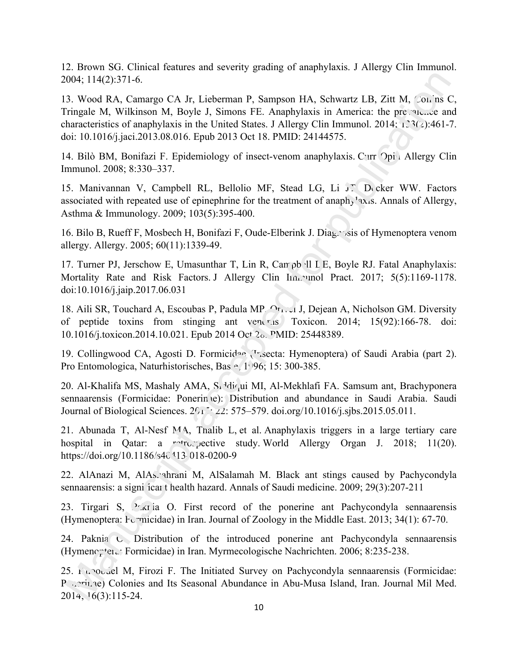12. Brown SG. Clinical features and severity grading of anaphylaxis. J Allergy Clin Immunol. 2004; 114(2):371-6.

13. Wood RA, Camargo CA Jr, Lieberman P, Sampson HA, Schwartz LB, Zitt M, Col, ns C, Tringale M, Wilkinson M, Boyle J, Simons FE. Anaphylaxis in America: the prevalence and characteristics of anaphylaxis in the United States. J Allergy Clin Immunol. 2014; 133(2):461-7. doi: 10.1016/j.jaci.2013.08.016. Epub 2013 Oct 18. PMID: 24144575. 004; 114(2):371-6.<br>
004; 114(2):371-6.<br>
33. Wood R.A. Camargo C.A. Jr., Lieberman P., Sampson H.A., Schwartz L.B., Ziit M., Conjus<br>
Tripage M., Wilkinson M. Boyle J. Simons F.I., Anaphylaxis in America: the pre-sise, cent<br>

14. Bilò BM, Bonifazi F. Epidemiology of insect-venom anaphylaxis. Curr Opin Allergy Clin Immunol. 2008; 8:330–337.

15. Manivannan V, Campbell RL, Bellolio MF, Stead LG, Li J. Decker WW. Factors associated with repeated use of epinephrine for the treatment of anaphylaxis. Annals of Allergy, Asthma & Immunology. 2009; 103(5):395-400.

16. Bilo B, Rueff F, Mosbech H, Bonifazi F, Oude-Elberink J. Diag∴∕sis of Hymenoptera venom allergy. Allergy. 2005; 60(11):1339-49.

17. Turner PJ, Jerschow E, Umasunthar T, Lin R, Can ob II L E, Boyle RJ. Fatal Anaphylaxis: Mortality Rate and Risk Factors. J Allergy Clin Inn. unol Pract. 2017; 5(5):1169-1178. doi:10.1016/j.jaip.2017.06.031

18. Aili SR, Touchard A, Escoubas P, Padula MP,  $O_{r_1}$ , J, Dejean A, Nicholson GM. Diversity of peptide toxins from stinging ant venoming. Toxicon. 2014;  $15(92):166-78$ . doi: 10.1016/j.toxicon.2014.10.021. Epub 2014 Oct 28. PMID: 25448389.

19. Collingwood CA, Agosti D. Formicidae  $\mathcal{F}_1$ secta: Hymenoptera) of Saudi Arabia (part 2). Pro Entomologica, Naturhistorisches, Bas. e. 1996; 15: 300-385.

20. Al-Khalifa MS, Mashaly AMA,  $S_i$ <sup>1</sup>diqui MI, Al-Mekhlafi FA. Samsum ant, Brachyponera sennaarensis (Formicidae: Ponerin e): Distribution and abundance in Saudi Arabia. Saudi Journal of Biological Sciences.  $2\sqrt{1/2}$ :  $22: 575-579$ . doi.org/10.1016/j.sjbs.2015.05.011.

21. Abunada T, Al-Nesf MA, Thalib L, et al. Anaphylaxis triggers in a large tertiary care hospital in Qatar: a rotrospective study. World Allergy Organ J. 2018; 11(20). https://doi.org/10.1186/s40 113 018-0200-9

22. AlAnazi M, AlAshahrani M, AlSalamah M. Black ant stings caused by Pachycondyla sennaarensis: a signi ícar thealth hazard. Annals of Saudi medicine. 2009; 29(3):207-211

23. Tirgari S, Pakinia O. First record of the ponerine ant Pachycondyla sennaarensis (Hymenoptera: Formicidae) in Iran. Journal of Zoology in the Middle East. 2013; 34(1): 67-70.

24. Paknia O. Distribution of the introduced ponerine ant Pachycondyla sennaarensis (Hymenoptera: Formicidae) in Iran. Myrmecologische Nachrichten. 2006; 8:235-238.

25. Khoobdel M, Firozi F. The Initiated Survey on Pachycondyla sennaarensis (Formicidae: P coniume) Colonies and Its Seasonal Abundance in Abu-Musa Island, Iran. Journal Mil Med. 2014; 16(3):115-24.